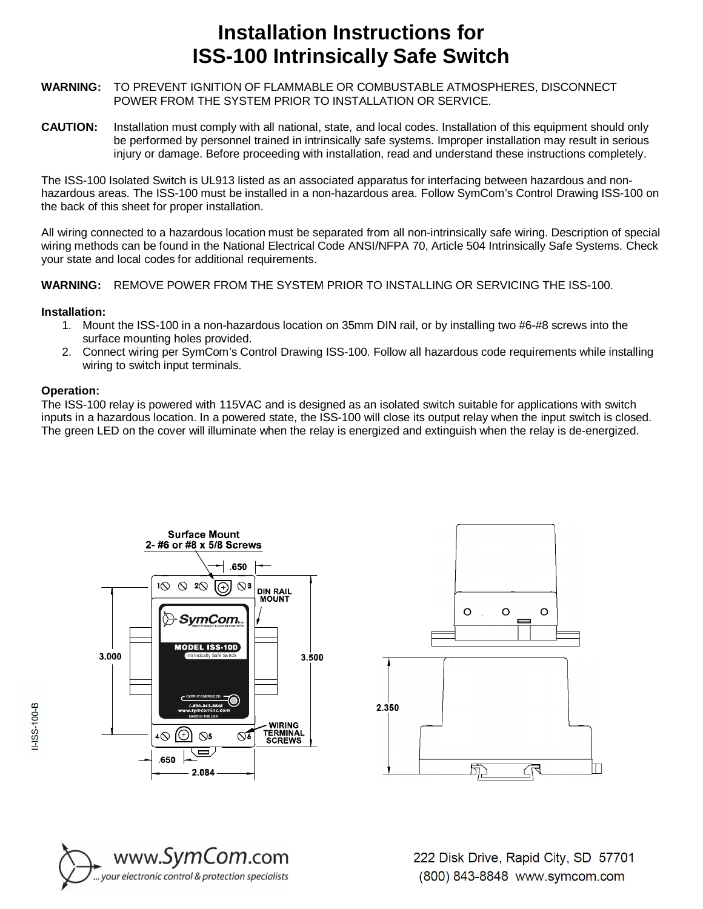## **Installation Instructions for ISS-100 Intrinsically Safe Switch**

- **WARNING:** TO PREVENT IGNITION OF FLAMMABLE OR COMBUSTABLE ATMOSPHERES, DISCONNECT POWER FROM THE SYSTEM PRIOR TO INSTALLATION OR SERVICE.
- **CAUTION:** Installation must comply with all national, state, and local codes. Installation of this equipment should only be performed by personnel trained in intrinsically safe systems. Improper installation may result in serious injury or damage. Before proceeding with installation, read and understand these instructions completely.

The ISS-100 Isolated Switch is UL913 listed as an associated apparatus for interfacing between hazardous and nonhazardous areas. The ISS-100 must be installed in a non-hazardous area. Follow SymCom's Control Drawing ISS-100 on the back of this sheet for proper installation.

All wiring connected to a hazardous location must be separated from all non-intrinsically safe wiring. Description of special wiring methods can be found in the National Electrical Code ANSI/NFPA 70, Article 504 Intrinsically Safe Systems. Check your state and local codes for additional requirements.

**WARNING:** REMOVE POWER FROM THE SYSTEM PRIOR TO INSTALLING OR SERVICING THE ISS-100.

## **Installation:**

- 1. Mount the ISS-100 in a non-hazardous location on 35mm DIN rail, or by installing two #6-#8 screws into the surface mounting holes provided.
- 2. Connect wiring per SymCom's Control Drawing ISS-100. Follow all hazardous code requirements while installing wiring to switch input terminals.

## **Operation:**

The ISS-100 relay is powered with 115VAC and is designed as an isolated switch suitable for applications with switch inputs in a hazardous location. In a powered state, the ISS-100 will close its output relay when the input switch is closed. The green LED on the cover will illuminate when the relay is energized and extinguish when the relay is de-energized.







222 Disk Drive, Rapid City, SD 57701 (800) 843-8848 www.symcom.com